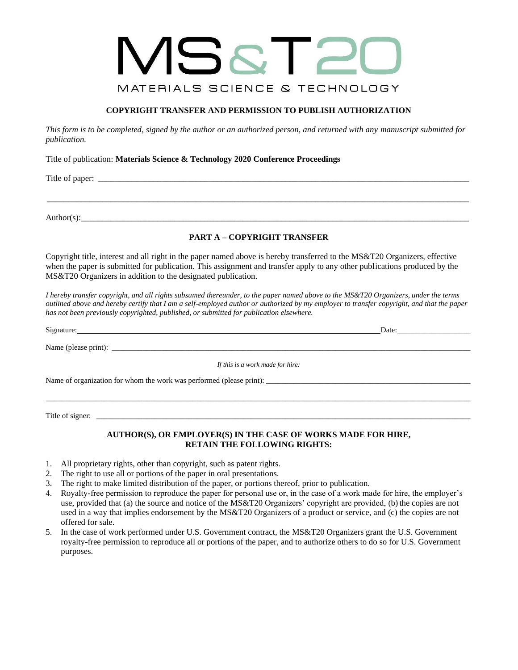# VISST20 MATERIALS SCIENCE & TECHNOLOGY

# **COPYRIGHT TRANSFER AND PERMISSION TO PUBLISH AUTHORIZATION**

*This form is to be completed, signed by the author or an authorized person, and returned with any manuscript submitted for publication.*

Title of publication: **Materials Science & Technology 2020 Conference Proceedings** 

Title of paper: \_\_\_\_\_\_\_\_\_\_\_\_\_\_\_\_\_\_\_\_\_\_\_\_\_\_\_\_\_\_\_\_\_\_\_\_\_\_\_\_\_\_\_\_\_\_\_\_\_\_\_\_\_\_\_\_\_\_\_\_\_\_\_\_\_\_\_\_\_\_\_\_\_\_\_\_\_\_\_\_\_\_\_\_\_\_\_

Author(s):\_\_\_\_\_\_\_\_\_\_\_\_\_\_\_\_\_\_\_\_\_\_\_\_\_\_\_\_\_\_\_\_\_\_\_\_\_\_\_\_\_\_\_\_\_\_\_\_\_\_\_\_\_\_\_\_\_\_\_\_\_\_\_\_\_\_\_\_\_\_\_\_\_\_\_\_\_\_\_\_\_\_\_\_\_\_\_\_\_\_\_

## **PART A – COPYRIGHT TRANSFER**

\_\_\_\_\_\_\_\_\_\_\_\_\_\_\_\_\_\_\_\_\_\_\_\_\_\_\_\_\_\_\_\_\_\_\_\_\_\_\_\_\_\_\_\_\_\_\_\_\_\_\_\_\_\_\_\_\_\_\_\_\_\_\_\_\_\_\_\_\_\_\_\_\_\_\_\_\_\_\_\_\_\_\_\_\_\_\_\_\_\_\_\_\_\_\_\_\_\_\_

Copyright title, interest and all right in the paper named above is hereby transferred to the MS&T20 Organizers, effective when the paper is submitted for publication. This assignment and transfer apply to any other publications produced by the MS&T20 Organizers in addition to the designated publication.

*I hereby transfer copyright, and all rights subsumed thereunder, to the paper named above to the MS&T20 Organizers, under the terms outlined above and hereby certify that I am a self-employed author or authorized by my employer to transfer copyright, and that the paper has not been previously copyrighted, published, or submitted for publication elsewhere.* 

Signature: Date:\_\_\_\_\_\_\_\_\_\_\_\_\_\_\_\_\_\_\_

Name (please print): \_\_\_\_\_\_\_\_\_\_\_\_\_\_\_\_\_\_\_\_\_\_\_\_\_\_\_\_\_\_\_\_\_\_\_\_\_\_\_\_\_\_\_\_\_\_\_\_\_\_\_\_\_\_\_\_\_\_\_\_\_\_\_\_\_\_\_\_\_\_\_\_\_\_\_\_\_\_\_\_\_\_\_\_\_\_\_\_\_\_\_\_\_

*If this is a work made for hire:*

Name of organization for whom the work was performed (please print): \_\_\_\_\_\_\_\_\_\_\_\_\_\_\_\_\_\_\_\_\_\_\_\_\_\_\_\_\_\_\_\_\_\_\_\_\_\_\_\_\_\_\_\_\_\_\_\_\_\_\_\_\_

Title of signer:  $\frac{1}{\sqrt{1-\frac{1}{2}}\sqrt{1-\frac{1}{2}}\sqrt{1-\frac{1}{2}}\sqrt{1-\frac{1}{2}}\sqrt{1-\frac{1}{2}}\sqrt{1-\frac{1}{2}}\sqrt{1-\frac{1}{2}}\sqrt{1-\frac{1}{2}}\sqrt{1-\frac{1}{2}}\sqrt{1-\frac{1}{2}}\sqrt{1-\frac{1}{2}}\sqrt{1-\frac{1}{2}}\sqrt{1-\frac{1}{2}}\sqrt{1-\frac{1}{2}}\sqrt{1-\frac{1}{2}}\sqrt{1-\frac{1}{2}}\sqrt{1-\frac{1}{2}}\sqrt{1-\frac{1}{2}}$ 

## **AUTHOR(S), OR EMPLOYER(S) IN THE CASE OF WORKS MADE FOR HIRE, RETAIN THE FOLLOWING RIGHTS:**

\_\_\_\_\_\_\_\_\_\_\_\_\_\_\_\_\_\_\_\_\_\_\_\_\_\_\_\_\_\_\_\_\_\_\_\_\_\_\_\_\_\_\_\_\_\_\_\_\_\_\_\_\_\_\_\_\_\_\_\_\_\_\_\_\_\_\_\_\_\_\_\_\_\_\_\_\_\_\_\_\_\_\_\_\_\_\_\_\_\_\_\_\_\_\_\_\_\_\_\_\_\_\_\_\_\_\_\_\_\_

- 1. All proprietary rights, other than copyright, such as patent rights.
- 2. The right to use all or portions of the paper in oral presentations.
- 3. The right to make limited distribution of the paper, or portions thereof, prior to publication.
- 4. Royalty-free permission to reproduce the paper for personal use or, in the case of a work made for hire, the employer's use, provided that (a) the source and notice of the MS&T20 Organizers' copyright are provided, (b) the copies are not used in a way that implies endorsement by the MS&T20 Organizers of a product or service, and (c) the copies are not offered for sale.
- 5. In the case of work performed under U.S. Government contract, the MS&T20 Organizers grant the U.S. Government royalty-free permission to reproduce all or portions of the paper, and to authorize others to do so for U.S. Government purposes.